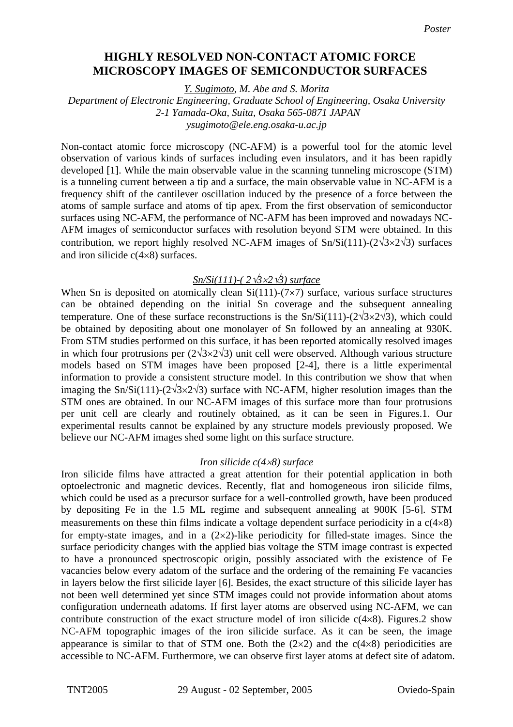# **Highly resolved non-contact atomic force microscopy images HIGHLY RESOLVED NON-CONTACT ATOMIC FORCE of semiconductor surfaces MICROSCOPY IMAGES OF SEMICONDUCTOR SURFACES**

*Y. Sugimoto, M. Abe and S. Morita* 

#### *Department of Electronic Engineering, Graduate School of Engineering, Osaka University 2-1 Yamada-Oka, Suita, Osaka 565-0871 JAPAN ysugimoto@ele.eng.osaka-u.ac.jp*

Non-contact atomic force microscopy (NC-AFM) is a powerful tool for the atomic level observation of various kinds of surfaces including even insulators, and it has been rapidly developed [1]. While the main observable value in the scanning tunneling microscope (STM) is a tunneling current between a tip and a surface, the main observable value in NC-AFM is a frequency shift of the cantilever oscillation induced by the presence of a force between the atoms of sample surface and atoms of tip apex. From the first observation of semiconductor surfaces using NC-AFM, the performance of NC-AFM has been improved and nowadays NC-AFM images of semiconductor surfaces with resolution beyond STM were obtained. In this contribution, we report highly resolved NC-AFM images of Sn/Si(111)-( $2\sqrt{3}\times2\sqrt{3}$ ) surfaces and iron silicide c(4×8) surfaces.

# *Sn/Si(111)-( 2*√*3*×*2*√*3) surface*

When Sn is deposited on atomically clean  $Si(111)-(7\times7)$  surface, various surface structures can be obtained depending on the initial Sn coverage and the subsequent annealing temperature. One of these surface reconstructions is the  $Sn/Si(111)-(2\sqrt{3}\times2\sqrt{3})$ , which could be obtained by depositing about one monolayer of Sn followed by an annealing at 930K. From STM studies performed on this surface, it has been reported atomically resolved images in which four protrusions per  $(2\sqrt{3}\times2\sqrt{3})$  unit cell were observed. Although various structure models based on STM images have been proposed [2-4], there is a little experimental information to provide a consistent structure model. In this contribution we show that when imaging the Sn/Si(111)-( $2\sqrt{3}\times2\sqrt{3}$ ) surface with NC-AFM, higher resolution images than the STM ones are obtained. In our NC-AFM images of this surface more than four protrusions per unit cell are clearly and routinely obtained, as it can be seen in Figures.1. Our experimental results cannot be explained by any structure models previously proposed. We believe our NC-AFM images shed some light on this surface structure.

#### *Iron silicide c(4*×*8) surface*

Iron silicide films have attracted a great attention for their potential application in both optoelectronic and magnetic devices. Recently, flat and homogeneous iron silicide films, which could be used as a precursor surface for a well-controlled growth, have been produced by depositing Fe in the 1.5 ML regime and subsequent annealing at 900K [5-6]. STM measurements on these thin films indicate a voltage dependent surface periodicity in a  $c(4\times8)$ for empty-state images, and in a  $(2\times2)$ -like periodicity for filled-state images. Since the surface periodicity changes with the applied bias voltage the STM image contrast is expected to have a pronounced spectroscopic origin, possibly associated with the existence of Fe vacancies below every adatom of the surface and the ordering of the remaining Fe vacancies in layers below the first silicide layer [6]. Besides, the exact structure of this silicide layer has not been well determined yet since STM images could not provide information about atoms configuration underneath adatoms. If first layer atoms are observed using NC-AFM, we can contribute construction of the exact structure model of iron silicide  $c(4\times8)$ . Figures. 2 show NC-AFM topographic images of the iron silicide surface. As it can be seen, the image appearance is similar to that of STM one. Both the  $(2\times 2)$  and the  $c(4\times 8)$  periodicities are accessible to NC-AFM. Furthermore, we can observe first layer atoms at defect site of adatom.